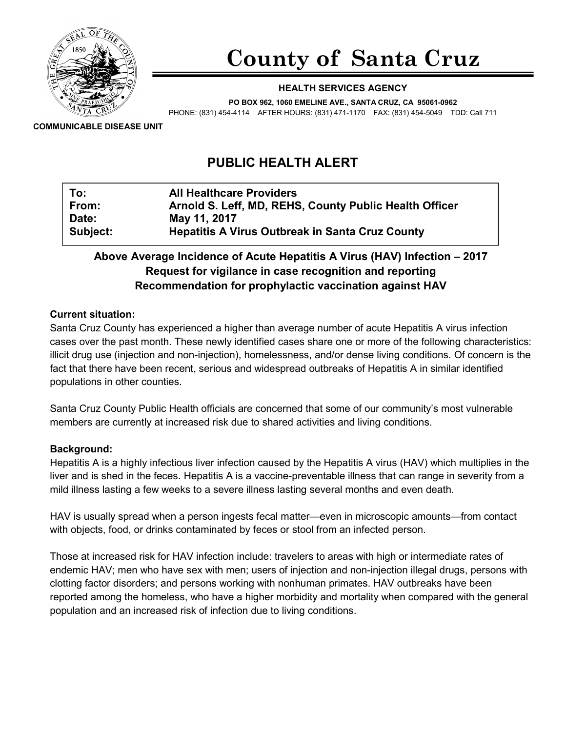

# County of Santa Cruz

#### HEALTH SERVICES AGENCY

PO BOX 962, 1060 EMELINE AVE., SANTA CRUZ, CA 95061-0962

PHONE: (831) 454-4114 AFTER HOURS: (831) 471-1170 FAX: (831) 454-5049 TDD: Call 711

COMMUNICABLE DISEASE UNIT

# PUBLIC HEALTH ALERT

| To:      | <b>All Healthcare Providers</b>                        |
|----------|--------------------------------------------------------|
| From:    | Arnold S. Leff, MD, REHS, County Public Health Officer |
| Date:    | May 11, 2017                                           |
| Subject: | <b>Hepatitis A Virus Outbreak in Santa Cruz County</b> |

# Above Average Incidence of Acute Hepatitis A Virus (HAV) Infection – 2017 Request for vigilance in case recognition and reporting Recommendation for prophylactic vaccination against HAV

#### Current situation:

Santa Cruz County has experienced a higher than average number of acute Hepatitis A virus infection cases over the past month. These newly identified cases share one or more of the following characteristics: illicit drug use (injection and non-injection), homelessness, and/or dense living conditions. Of concern is the fact that there have been recent, serious and widespread outbreaks of Hepatitis A in similar identified populations in other counties.

Santa Cruz County Public Health officials are concerned that some of our community's most vulnerable members are currently at increased risk due to shared activities and living conditions.

#### Background:

Hepatitis A is a highly infectious liver infection caused by the Hepatitis A virus (HAV) which multiplies in the liver and is shed in the feces. Hepatitis A is a vaccine-preventable illness that can range in severity from a mild illness lasting a few weeks to a severe illness lasting several months and even death.

HAV is usually spread when a person ingests fecal matter—even in microscopic amounts—from contact with objects, food, or drinks contaminated by feces or stool from an infected person.

Those at increased risk for HAV infection include: travelers to areas with high or intermediate rates of endemic HAV; men who have sex with men; users of injection and non-injection illegal drugs, persons with clotting factor disorders; and persons working with nonhuman primates. HAV outbreaks have been reported among the homeless, who have a higher morbidity and mortality when compared with the general population and an increased risk of infection due to living conditions.